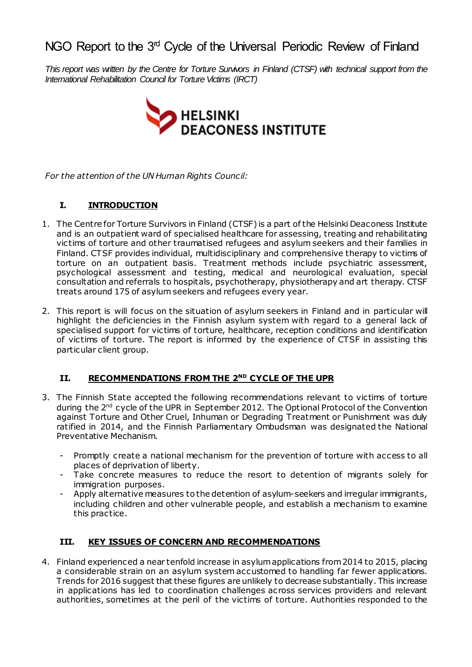# NGO Report to the 3<sup>rd</sup> Cycle of the Universal Periodic Review of Finland

This report was written by the Centre for Torture Survivors in Finland (CTSF) with technical support from the *International Rehabilitation Council for Torture Victims (IRCT)* 



*For the attention of the UN Human Rights Council:*

## **I. INTRODUCTION**

- 1. The Centre for Torture Survivors in Finland (CTSF) is a part ofthe Helsinki Deaconess Institute and is an outpatient ward of specialised healthcare for assessing, treating and rehabilitating victims of torture and other traumatised refugees and asylum seekers and their families in Finland. CTSF provides individual, multidisciplinary and comprehensive therapy to victims of torture on an outpatient basis. Treatment methods include psychiatric assessment, psychological assessment and testing, medical and neurological evaluation, special consultation and referrals to hospitals, psychotherapy, physiotherapy and art therapy. CTSF treats around 175 of asylum seekers and refugees every year.
- 2. This report is will focus on the situation of asylum seekers in Finland and in particular will highlight the deficiencies in the Finnish asylum system with regard to a general lack of specialised support for victims of torture, healthcare, reception conditions and identification of victims of torture. The report is informed by the experience of CTSF in assisting this particular client group.

## **II. RECOMMENDATIONS FROM THE 2 ND CYCLE OF THE UPR**

- 3. The Finnish State accepted the following recommendations relevant to victims of torture during the 2<sup>nd</sup> cycle of the UPR in September 2012. The Optional Protocol of the Convention against Torture and Other Cruel, Inhuman or Degrading Treatment or Punishment was duly ratified in 2014, and the Finnish Parliamentary Ombudsman was designated the National Preventative Mechanism.
	- Promptly create a national mechanism for the prevention of torture with access to all places of deprivation of liberty.
	- Take concrete measures to reduce the resort to detention of migrants solely for immigration purposes.
	- Apply alternative measures to the detention of asylum-seekers and irregular immigrants, including children and other vulnerable people, and establish a mechanism to examine this practice.

## **III. KEY ISSUES OF CONCERN AND RECOMMENDATIONS**

4. Finland experienced a near tenfold increase in asylumapplications from2014 to 2015, placing a considerable strain on an asylum system accustomed to handling far fewer applications. Trends for 2016 suggest that these figures are unlikely to decrease substantially. This increase in applications has led to coordination challenges across services providers and relevant authorities, sometimes at the peril of the victims of torture. Authorities responded to the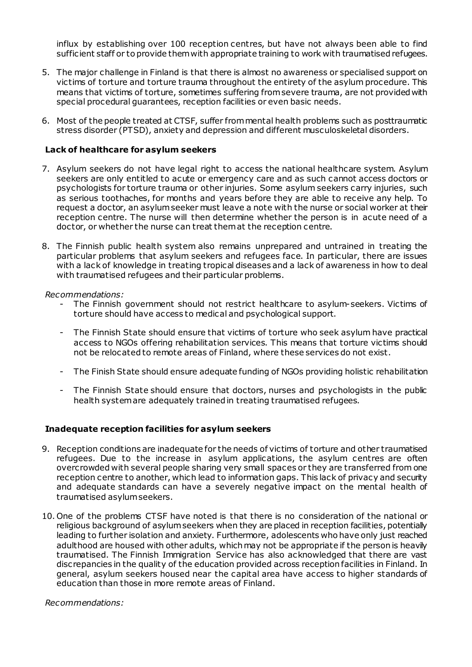influx by establishing over 100 reception centres, but have not always been able to find sufficient staff or to provide themwith appropriate training to work with traumatised refugees.

- 5. The major challenge in Finland is that there is almost no awareness or specialised support on victims of torture and torture trauma throughout the entirety of the asylum procedure. This means that victims of torture, sometimes suffering fromsevere trauma, are not provided with special procedural guarantees, reception facilities or even basic needs.
- 6. Most of the people treated at CTSF, suffer frommental health problems such as posttraumatic stress disorder (PTSD), anxiety and depression and different musculoskeletal disorders.

#### **Lack of healthcare for asylum seekers**

- 7. Asylum seekers do not have legal right to access the national healthcare system. Asylum seekers are only entitled to acute or emergency care and as such cannot access doctors or psychologists for torture trauma or other injuries. Some asylum seekers carry injuries, such as serious toothaches, for months and years before they are able to receive any help. To request a doctor, an asylumseeker must leave a note with the nurse or social worker at their reception centre. The nurse will then determine whether the person is in acute need of a doctor, or whether the nurse can treat themat the reception centre.
- 8. The Finnish public health system also remains unprepared and untrained in treating the particular problems that asylum seekers and refugees face. In particular, there are issues with a lack of knowledge in treating tropical diseases and a lack of awareness in how to deal with traumatised refugees and their particular problems.

#### *Recommendations:*

- The Finnish government should not restrict healthcare to asylum-seekers. Victims of torture should have access to medical and psychological support.
- The Finnish State should ensure that victims of torture who seek asylum have practical access to NGOs offering rehabilitation services. This means that torture victims should not be relocated to remote areas of Finland, where these services do not exist.
- The Finish State should ensure adequate funding of NGOs providing holistic rehabilitation
- The Finnish State should ensure that doctors, nurses and psychologists in the public health system are adequately trained in treating traumatised refugees.

#### **Inadequate reception facilities for asylum seekers**

- 9. Reception conditions are inadequate for the needs of victims of torture and other traumatised refugees. Due to the increase in asylum applications, the asylum centres are often overcrowded with several people sharing very small spaces or they are transferred from one reception centre to another, which lead to information gaps. This lack of privacy and security and adequate standards can have a severely negative impact on the mental health of traumatised asylumseekers.
- 10. One of the problems CTSF have noted is that there is no consideration of the national or religious background of asylumseekers when they are placed in reception facilities, potentially leading to further isolation and anxiety. Furthermore, adolescents who have only just reached adulthood are housed with other adults, whichmay not be appropriate if the personis heavily traumatised. The Finnish Immigration Service has also acknowledged that there are vast discrepancies in the quality of the education provided across receptionfacilities in Finland. In general, asylum seekers housed near the capital area have access to higher standards of education than those in more remote areas of Finland.

*Recommendations:*